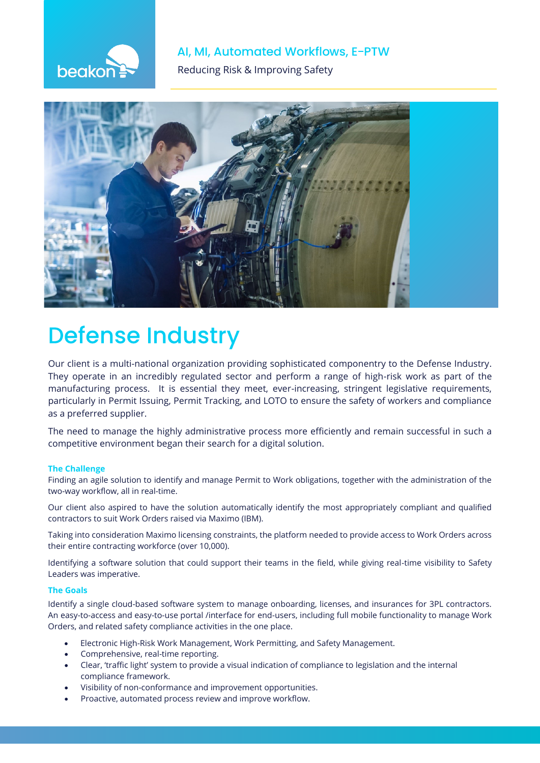# beakor

### AI, MI, Automated Workflows, E-PTW

**The Reducing Risk & Improving Safety** 



# **Defense Industry**

Our client is a multi-national organization providing sophisticated componentry to the Defense Industry. They operate in an incredibly regulated sector and perform a range of high-risk work as part of the manufacturing process. It is essential they meet, ever-increasing, stringent legislative requirements, particularly in Permit Issuing, Permit Tracking, and LOTO to ensure the safety of workers and compliance as a preferred supplier.

The need to manage the highly administrative process more efficiently and remain successful in such a competitive environment began their search for a digital solution.

### **The Challenge**

Finding an agile solution to identify and manage Permit to Work obligations, together with the administration of the two-way workflow, all in real-time.

Our client also aspired to have the solution automatically identify the most appropriately compliant and qualified contractors to suit Work Orders raised via Maximo (IBM).

Taking into consideration Maximo licensing constraints, the platform needed to provide access to Work Orders across their entire contracting workforce (over 10,000).

Identifying a software solution that could support their teams in the field, while giving real-time visibility to Safety Leaders was imperative.

#### **The Goals**

Identify a single cloud-based software system to manage onboarding, licenses, and insurances for 3PL contractors. An easy-to-access and easy-to-use portal /interface for end-users, including full mobile functionality to manage Work Orders, and related safety compliance activities in the one place.

- Electronic High-Risk Work Management, Work Permitting, and Safety Management.
- Comprehensive, real-time reporting.
- Clear, 'traffic light' system to provide a visual indication of compliance to legislation and the internal compliance framework.
- Visibility of non-conformance and improvement opportunities.
- Proactive, automated process review and improve workflow.